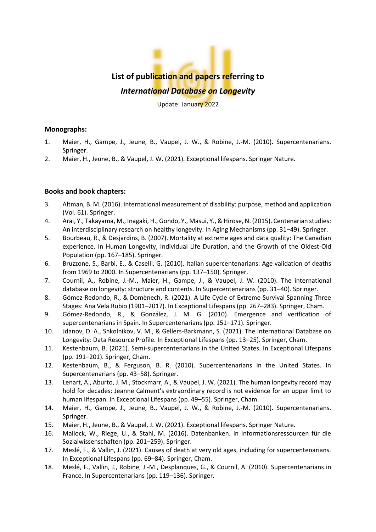# **List of publication and papers referring to** *International Database on Longevity*

Update: January 2022

## **Monographs:**

- 1. Maier, H., Gampe, J., Jeune, B., Vaupel, J. W., & Robine, J.-M. (2010). Supercentenarians. Springer.
- 2. Maier, H., Jeune, B., & Vaupel, J. W. (2021). Exceptional lifespans. Springer Nature.

## **Books and book chapters:**

- 3. Altman, B. M. (2016). International measurement of disability: purpose, method and application (Vol. 61). Springer.
- 4. Arai, Y., Takayama, M., Inagaki, H., Gondo, Y., Masui, Y.,& Hirose, N. (2015). Centenarian studies: An interdisciplinary research on healthy longevity. In Aging Mechanisms (pp. 31–49). Springer.
- 5. Bourbeau, R., & Desjardins, B. (2007). Mortality at extreme ages and data quality: The Canadian experience. In Human Longevity, Individual Life Duration, and the Growth of the Oldest-Old Population (pp. 167–185). Springer.
- 6. Bruzzone, S., Barbi, E., & Caselli, G. (2010). Italian supercentenarians: Age validation of deaths from 1969 to 2000. In Supercentenarians (pp. 137–150). Springer.
- 7. Cournil, A., Robine, J.-M., Maier, H., Gampe, J., & Vaupel, J. W. (2010). The international database on longevity: structure and contents. In Supercentenarians (pp. 31–40). Springer.
- 8. Gómez-Redondo, R., & Domènech, R. (2021). A Life Cycle of Extreme Survival Spanning Three Stages: Ana Vela Rubio (1901–2017). In Exceptional Lifespans (pp. 267–283). Springer, Cham.
- 9. Gómez-Redondo, R., & González, J. M. G. (2010). Emergence and verification of supercentenarians in Spain. In Supercentenarians (pp. 151–171). Springer.
- 10. Jdanov, D. A., Shkolnikov, V. M., & Gellers-Barkmann, S. (2021). The International Database on Longevity: Data Resource Profile. In Exceptional Lifespans (pp. 13–25). Springer, Cham.
- 11. Kestenbaum, B. (2021). Semi-supercentenarians in the United States. In Exceptional Lifespans (pp. 191–201). Springer, Cham.
- 12. Kestenbaum, B., & Ferguson, B. R. (2010). Supercentenarians in the United States. In Supercentenarians (pp. 43–58). Springer.
- 13. Lenart, A., Aburto, J. M., Stockmarr, A., & Vaupel, J. W. (2021). The human longevity record may hold for decades: Jeanne Calment's extraordinary record is not evidence for an upper limit to human lifespan. In Exceptional Lifespans (pp. 49–55). Springer, Cham.
- 14. Maier, H., Gampe, J., Jeune, B., Vaupel, J. W., & Robine, J.-M. (2010). Supercentenarians. Springer.
- 15. Maier, H., Jeune, B., & Vaupel, J. W. (2021). Exceptional lifespans. Springer Nature.
- 16. Mallock, W., Riege, U., & Stahl, M. (2016). Datenbanken. In Informationsressourcen für die Sozialwissenschaften (pp. 201–259). Springer.
- 17. Meslé, F., & Vallin, J. (2021). Causes of death at very old ages, including for supercentenarians. In Exceptional Lifespans (pp. 69–84). Springer, Cham.
- 18. Meslé, F., Vallin, J., Robine, J.-M., Desplanques, G., & Cournil, A. (2010). Supercentenarians in France. In Supercentenarians (pp. 119–136). Springer.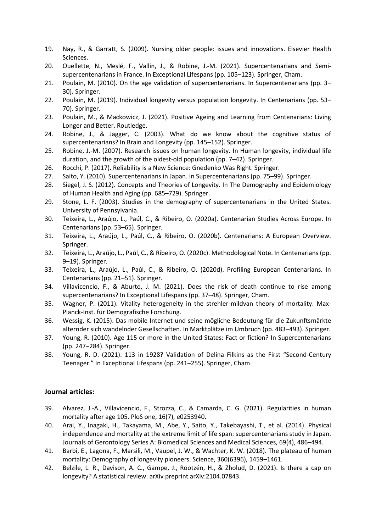- 19. Nay, R., & Garratt, S. (2009). Nursing older people: issues and innovations. Elsevier Health Sciences.
- 20. Ouellette, N., Meslé, F., Vallin, J., & Robine, J.-M. (2021). Supercentenarians and Semisupercentenarians in France. In Exceptional Lifespans (pp. 105–123). Springer, Cham.
- 21. Poulain, M. (2010). On the age validation of supercentenarians. In Supercentenarians (pp. 3– 30). Springer.
- 22. Poulain, M. (2019). Individual longevity versus population longevity. In Centenarians (pp. 53– 70). Springer.
- 23. Poulain, M., & Mackowicz, J. (2021). Positive Ageing and Learning from Centenarians: Living Longer and Better. Routledge.
- 24. Robine, J., & Jagger, C. (2003). What do we know about the cognitive status of supercentenarians? In Brain and Longevity (pp. 145–152). Springer.
- 25. Robine, J.-M. (2007). Research issues on human longevity. In Human longevity, individual life duration, and the growth of the oldest-old population (pp. 7–42). Springer.
- 26. Rocchi, P. (2017). Reliability is a New Science: Gnedenko Was Right. Springer.
- 27. Saito, Y. (2010). Supercentenarians in Japan. In Supercentenarians (pp. 75–99). Springer.
- 28. Siegel, J. S. (2012). Concepts and Theories of Longevity. In The Demography and Epidemiology of Human Health and Aging (pp. 685–729). Springer.
- 29. Stone, L. F. (2003). Studies in the demography of supercentenarians in the United States. University of Pennsylvania.
- 30. Teixeira, L., Araújo, L., Paúl, C., & Ribeiro, O. (2020a). Centenarian Studies Across Europe. In Centenarians (pp. 53–65). Springer.
- 31. Teixeira, L., Araújo, L., Paúl, C., & Ribeiro, O. (2020b). Centenarians: A European Overview. Springer.
- 32. Teixeira, L., Araújo, L., Paúl, C., & Ribeiro, O. (2020c). Methodological Note. In Centenarians (pp. 9–19). Springer.
- 33. Teixeira, L., Araújo, L., Paúl, C., & Ribeiro, O. (2020d). Profiling European Centenarians. In Centenarians (pp. 21–51). Springer.
- 34. Villavicencio, F., & Aburto, J. M. (2021). Does the risk of death continue to rise among supercentenarians? In Exceptional Lifespans (pp. 37–48). Springer, Cham.
- 35. Wagner, P. (2011). Vitality heterogeneity in the strehler-mildvan theory of mortality. Max-Planck-Inst. für Demografische Forschung.
- 36. Wessig, K. (2015). Das mobile Internet und seine mögliche Bedeutung für die Zukunftsmärkte alternder sich wandelnder Gesellschaften. In Marktplätze im Umbruch (pp. 483–493). Springer.
- 37. Young, R. (2010). Age 115 or more in the United States: Fact or fiction? In Supercentenarians (pp. 247–284). Springer.
- 38. Young, R. D. (2021). 113 in 1928? Validation of Delina Filkins as the First "Second-Century Teenager." In Exceptional Lifespans (pp. 241–255). Springer, Cham.

## **Journal articles:**

- 39. Alvarez, J.-A., Villavicencio, F., Strozza, C., & Camarda, C. G. (2021). Regularities in human mortality after age 105. PloS one, 16(7), e0253940.
- 40. Arai, Y., Inagaki, H., Takayama, M., Abe, Y., Saito, Y., Takebayashi, T., et al. (2014). Physical independence and mortality at the extreme limit of life span: supercentenarians study in Japan. Journals of Gerontology Series A: Biomedical Sciences and Medical Sciences, 69(4), 486–494.
- 41. Barbi, E., Lagona, F., Marsili, M., Vaupel, J. W., & Wachter, K. W. (2018). The plateau of human mortality: Demography of longevity pioneers. Science, 360(6396), 1459–1461.
- 42. Belzile, L. R., Davison, A. C., Gampe, J., Rootzén, H., & Zholud, D. (2021). Is there a cap on longevity? A statistical review. arXiv preprint arXiv:2104.07843.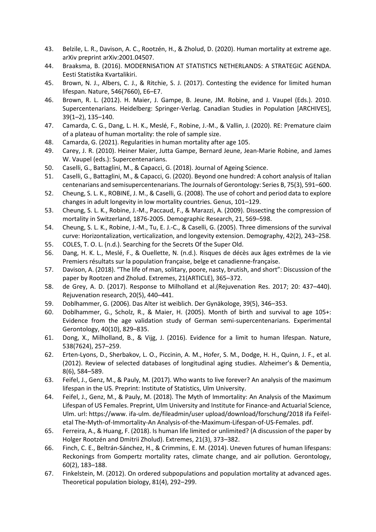- 43. Belzile, L. R., Davison, A. C., Rootzén, H., & Zholud, D. (2020). Human mortality at extreme age. arXiv preprint arXiv:2001.04507.
- 44. Braaksma, B. (2016). MODERNISATION AT STATISTICS NETHERLANDS: A STRATEGIC AGENDA. Eesti Statistika Kvartalikiri.
- 45. Brown, N. J., Albers, C. J., & Ritchie, S. J. (2017). Contesting the evidence for limited human lifespan. Nature, 546(7660), E6–E7.
- 46. Brown, R. L. (2012). H. Maier, J. Gampe, B. Jeune, JM. Robine, and J. Vaupel (Eds.). 2010. Supercentenarians. Heidelberg: Springer-Verlag. Canadian Studies in Population [ARCHIVES], 39(1–2), 135–140.
- 47. Camarda, C. G., Dang, L. H. K., Meslé, F., Robine, J.-M., & Vallin, J. (2020). RE: Premature claim of a plateau of human mortality: the role of sample size.
- 48. Camarda, G. (2021). Regularities in human mortality after age 105.
- 49. Carey, J. R. (2010). Heiner Maier, Jutta Gampe, Bernard Jeune, Jean‐Marie Robine, and James W. Vaupel (eds.): Supercentenarians.
- 50. Caselli, G., Battaglini, M., & Capacci, G. (2018). Journal of Ageing Science.
- 51. Caselli, G., Battaglini, M., & Capacci, G. (2020). Beyond one hundred: A cohort analysis of Italian centenarians and semisupercentenarians. The Journals of Gerontology: Series B, 75(3), 591–600.
- 52. Cheung, S. L. K., ROBINE, J. M., & Caselli, G. (2008). The use of cohort and period data to explore changes in adult longevity in low mortality countries. Genus, 101–129.
- 53. Cheung, S. L. K., Robine, J.-M., Paccaud, F., & Marazzi, A. (2009). Dissecting the compression of mortality in Switzerland, 1876-2005. Demographic Research, 21, 569–598.
- 54. Cheung, S. L. K., Robine, J.-M., Tu, E. J.-C., & Caselli, G. (2005). Three dimensions of the survival curve: Horizontalization, verticalization, and longevity extension. Demography, 42(2), 243–258.
- 55. COLES, T. O. L. (n.d.). Searching for the Secrets Of the Super Old.
- 56. Dang, H. K. L., Meslé, F., & Ouellette, N. (n.d.). Risques de décès aux âges extrêmes de la vie Premiers résultats sur la population française, belge et canadienne-française.
- 57. Davison, A. (2018). "The life of man, solitary, poore, nasty, brutish, and short": Discussion of the paper by Rootzen and Zholud. Extremes, 21(ARTICLE), 365–372.
- 58. de Grey, A. D. (2017). Response to Milholland et al.(Rejuvenation Res. 2017; 20: 437–440). Rejuvenation research, 20(5), 440–441.
- 59. Doblhammer, G. (2006). Das Alter ist weiblich. Der Gynäkologe, 39(5), 346–353.
- 60. Doblhammer, G., Scholz, R., & Maier, H. (2005). Month of birth and survival to age 105+: Evidence from the age validation study of German semi-supercentenarians. Experimental Gerontology, 40(10), 829–835.
- 61. Dong, X., Milholland, B., & Vijg, J. (2016). Evidence for a limit to human lifespan. Nature, 538(7624), 257–259.
- 62. Erten-Lyons, D., Sherbakov, L. O., Piccinin, A. M., Hofer, S. M., Dodge, H. H., Quinn, J. F., et al. (2012). Review of selected databases of longitudinal aging studies. Alzheimer's & Dementia, 8(6), 584–589.
- 63. Feifel, J., Genz, M., & Pauly, M. (2017). Who wants to live forever? An analysis of the maximum lifespan in the US. Preprint: Institute of Statistics, Ulm University.
- 64. Feifel, J., Genz, M., & Pauly, M. (2018). The Myth of Immortality: An Analysis of the Maximum Lifespan of US Females. Preprint, Ulm University and Institute for Finance-and Actuarial Science, Ulm. url: https://www. ifa-ulm. de/fileadmin/user upload/download/forschung/2018 ifa Feifeletal The-Myth-of-Immortality-An Analysis-of-the-Maximum-Lifespan-of-US-Females. pdf.
- 65. Ferreira, A., & Huang, F. (2018). Is human life limited or unlimited? (A discussion of the paper by Holger Rootzén and Dmitrii Zholud). Extremes, 21(3), 373–382.
- 66. Finch, C. E., Beltrán-Sánchez, H., & Crimmins, E. M. (2014). Uneven futures of human lifespans: Reckonings from Gompertz mortality rates, climate change, and air pollution. Gerontology, 60(2), 183–188.
- 67. Finkelstein, M. (2012). On ordered subpopulations and population mortality at advanced ages. Theoretical population biology, 81(4), 292–299.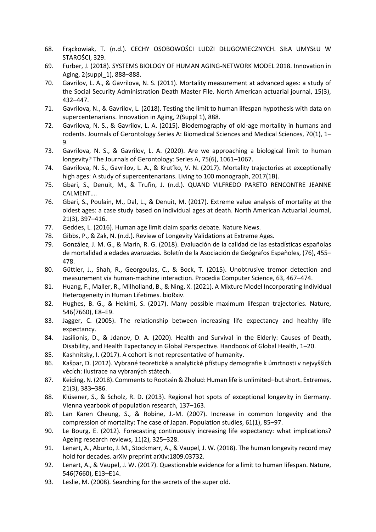- 68. Frąckowiak, T. (n.d.). CECHY OSOBOWOŚCI LUDZI DŁUGOWIECZNYCH. SIŁA UMYSŁU W STAROŚCI, 329.
- 69. Furber, J. (2018). SYSTEMS BIOLOGY OF HUMAN AGING-NETWORK MODEL 2018. Innovation in Aging, 2(suppl\_1), 888–888.
- 70. Gavrilov, L. A., & Gavrilova, N. S. (2011). Mortality measurement at advanced ages: a study of the Social Security Administration Death Master File. North American actuarial journal, 15(3), 432–447.
- 71. Gavrilova, N., & Gavrilov, L. (2018). Testing the limit to human lifespan hypothesis with data on supercentenarians. Innovation in Aging, 2(Suppl 1), 888.
- 72. Gavrilova, N. S., & Gavrilov, L. A. (2015). Biodemography of old-age mortality in humans and rodents. Journals of Gerontology Series A: Biomedical Sciences and Medical Sciences, 70(1), 1– 9.
- 73. Gavrilova, N. S., & Gavrilov, L. A. (2020). Are we approaching a biological limit to human longevity? The Journals of Gerontology: Series A, 75(6), 1061–1067.
- 74. Gavrilova, N. S., Gavrilov, L. A., & Krut'ko, V. N. (2017). Mortality trajectories at exceptionally high ages: A study of supercentenarians. Living to 100 monograph, 2017(1B).
- 75. Gbari, S., Denuit, M., & Trufin, J. (n.d.). QUAND VILFREDO PARETO RENCONTRE JEANNE CALMENT….
- 76. Gbari, S., Poulain, M., Dal, L., & Denuit, M. (2017). Extreme value analysis of mortality at the oldest ages: a case study based on individual ages at death. North American Actuarial Journal, 21(3), 397–416.
- 77. Geddes, L. (2016). Human age limit claim sparks debate. Nature News.
- 78. Gibbs, P., & Zak, N. (n.d.). Review of Longevity Validations at Extreme Ages.
- 79. González, J. M. G., & Marín, R. G. (2018). Evaluación de la calidad de las estadísticas españolas de mortalidad a edades avanzadas. Boletín de la Asociación de Geógrafos Españoles, (76), 455– 478.
- 80. Güttler, J., Shah, R., Georgoulas, C., & Bock, T. (2015). Unobtrusive tremor detection and measurement via human-machine interaction. Procedia Computer Science, 63, 467–474.
- 81. Huang, F., Maller, R., Milholland, B., & Ning, X. (2021). A Mixture Model Incorporating Individual Heterogeneity in Human Lifetimes. bioRxiv.
- 82. Hughes, B. G., & Hekimi, S. (2017). Many possible maximum lifespan trajectories. Nature, 546(7660), E8–E9.
- 83. Jagger, C. (2005). The relationship between increasing life expectancy and healthy life expectancy.
- 84. Jasilionis, D., & Jdanov, D. A. (2020). Health and Survival in the Elderly: Causes of Death, Disability, and Health Expectancy in Global Perspective. Handbook of Global Health, 1–20.
- 85. Kashnitsky, I. (2017). A cohort is not representative of humanity.
- 86. Kašpar, D. (2012). Vybrané teoretické a analytické přístupy demografie k úmrtnosti v nejvyšších věcích: ilustrace na vybraných státech.
- 87. Keiding, N. (2018). Comments to Rootzén & Zholud: Human life is unlimited–but short. Extremes, 21(3), 383–386.
- 88. Klüsener, S., & Scholz, R. D. (2013). Regional hot spots of exceptional longevity in Germany. Vienna yearbook of population research, 137–163.
- 89. Lan Karen Cheung, S., & Robine, J.-M. (2007). Increase in common longevity and the compression of mortality: The case of Japan. Population studies, 61(1), 85–97.
- 90. Le Bourg, E. (2012). Forecasting continuously increasing life expectancy: what implications? Ageing research reviews, 11(2), 325–328.
- 91. Lenart, A., Aburto, J. M., Stockmarr, A., & Vaupel, J. W. (2018). The human longevity record may hold for decades. arXiv preprint arXiv:1809.03732.
- 92. Lenart, A., & Vaupel, J. W. (2017). Questionable evidence for a limit to human lifespan. Nature, 546(7660), E13–E14.
- 93. Leslie, M. (2008). Searching for the secrets of the super old.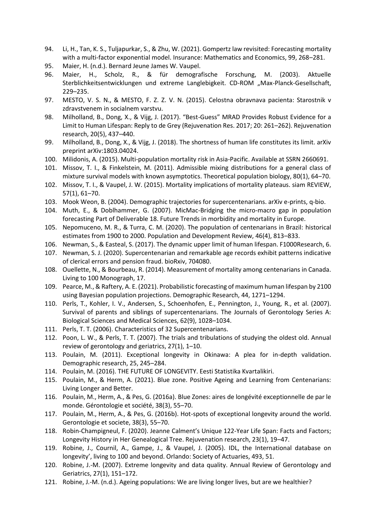- 94. Li, H., Tan, K. S., Tuljapurkar, S., & Zhu, W. (2021). Gompertz law revisited: Forecasting mortality with a multi-factor exponential model. Insurance: Mathematics and Economics, 99, 268–281.
- 95. Maier, H. (n.d.). Bernard Jeune James W. Vaupel.
- 96. Maier, H., Scholz, R., & für demografische Forschung, M. (2003). Aktuelle Sterblichkeitsentwicklungen und extreme Langlebigkeit. CD-ROM "Max-Planck-Gesellschaft, 229–235.
- 97. MESTO, V. S. N., & MESTO, F. Z. Z. V. N. (2015). Celostna obravnava pacienta: Starostnik v zdravstvenem in socialnem varstvu.
- 98. Milholland, B., Dong, X., & Vijg, J. (2017). "Best-Guess" MRAD Provides Robust Evidence for a Limit to Human Lifespan: Reply to de Grey (Rejuvenation Res. 2017; 20: 261–262). Rejuvenation research, 20(5), 437–440.
- 99. Milholland, B., Dong, X., & Vijg, J. (2018). The shortness of human life constitutes its limit. arXiv preprint arXiv:1803.04024.
- 100. Milidonis, A. (2015). Multi-population mortality risk in Asia-Pacific. Available at SSRN 2660691.
- 101. Missov, T. I., & Finkelstein, M. (2011). Admissible mixing distributions for a general class of mixture survival models with known asymptotics. Theoretical population biology, 80(1), 64–70.
- 102. Missov, T. I., & Vaupel, J. W. (2015). Mortality implications of mortality plateaus. siam REVIEW, 57(1), 61–70.
- 103. Mook Weon, B. (2004). Demographic trajectories for supercentenarians. arXiv e-prints, q-bio.
- 104. Muth, E., & Doblhammer, G. (2007). MicMac-Bridging the micro-macro gap in population forecasting Part of Deliverable 18. Future Trends in morbidity and mortality in Europe.
- 105. Nepomuceno, M. R., & Turra, C. M. (2020). The population of centenarians in Brazil: historical estimates from 1900 to 2000. Population and Development Review, 46(4), 813–833.
- 106. Newman, S., & Easteal, S. (2017). The dynamic upper limit of human lifespan. F1000Research, 6.
- 107. Newman, S. J. (2020). Supercentenarian and remarkable age records exhibit patterns indicative of clerical errors and pension fraud. bioRxiv, 704080.
- 108. Ouellette, N., & Bourbeau, R. (2014). Measurement of mortality among centenarians in Canada. Living to 100 Monograph, 17.
- 109. Pearce, M., & Raftery, A. E. (2021). Probabilistic forecasting of maximum human lifespan by 2100 using Bayesian population projections. Demographic Research, 44, 1271–1294.
- 110. Perls, T., Kohler, I. V., Andersen, S., Schoenhofen, E., Pennington, J., Young, R., et al. (2007). Survival of parents and siblings of supercentenarians. The Journals of Gerontology Series A: Biological Sciences and Medical Sciences, 62(9), 1028–1034.
- 111. Perls, T. T. (2006). Characteristics of 32 Supercentenarians.
- 112. Poon, L. W., & Perls, T. T. (2007). The trials and tribulations of studying the oldest old. Annual review of gerontology and geriatrics, 27(1), 1–10.
- 113. Poulain, M. (2011). Exceptional longevity in Okinawa: A plea for in-depth validation. Demographic research, 25, 245–284.
- 114. Poulain, M. (2016). THE FUTURE OF LONGEVITY. Eesti Statistika Kvartalikiri.
- 115. Poulain, M., & Herm, A. (2021). Blue zone. Positive Ageing and Learning from Centenarians: Living Longer and Better.
- 116. Poulain, M., Herm, A., & Pes, G. (2016a). Blue Zones: aires de longévité exceptionnelle de par le monde. Gérontologie et société, 38(3), 55–70.
- 117. Poulain, M., Herm, A., & Pes, G. (2016b). Hot-spots of exceptional longevity around the world. Gerontologie et societe, 38(3), 55–70.
- 118. Robin-Champigneul, F. (2020). Jeanne Calment's Unique 122-Year Life Span: Facts and Factors; Longevity History in Her Genealogical Tree. Rejuvenation research, 23(1), 19–47.
- 119. Robine, J., Cournil, A., Gampe, J., & Vaupel, J. (2005). IDL, the International database on longevity', living to 100 and beyond. Orlando: Society of Actuaries, 493, 51.
- 120. Robine, J.-M. (2007). Extreme longevity and data quality. Annual Review of Gerontology and Geriatrics, 27(1), 151–172.
- 121. Robine, J.-M. (n.d.). Ageing populations: We are living longer lives, but are we healthier?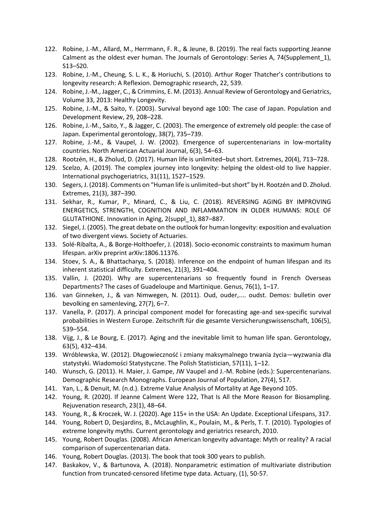- 122. Robine, J.-M., Allard, M., Herrmann, F. R., & Jeune, B. (2019). The real facts supporting Jeanne Calment as the oldest ever human. The Journals of Gerontology: Series A, 74(Supplement\_1), S13–S20.
- 123. Robine, J.-M., Cheung, S. L. K., & Horiuchi, S. (2010). Arthur Roger Thatcher's contributions to longevity research: A Reflexion. Demographic research, 22, 539.
- 124. Robine, J.-M., Jagger, C., & Crimmins, E. M. (2013). Annual Review of Gerontology and Geriatrics, Volume 33, 2013: Healthy Longevity.
- 125. Robine, J.-M., & Saito, Y. (2003). Survival beyond age 100: The case of Japan. Population and Development Review, 29, 208–228.
- 126. Robine, J.-M., Saito, Y., & Jagger, C. (2003). The emergence of extremely old people: the case of Japan. Experimental gerontology, 38(7), 735–739.
- 127. Robine, J.-M., & Vaupel, J. W. (2002). Emergence of supercentenarians in low-mortality countries. North American Actuarial Journal, 6(3), 54–63.
- 128. Rootzén, H., & Zholud, D. (2017). Human life is unlimited–but short. Extremes, 20(4), 713–728.
- 129. Scelzo, A. (2019). The complex journey into longevity: helping the oldest-old to live happier. International psychogeriatrics, 31(11), 1527–1529.
- 130. Segers, J. (2018). Comments on "Human life is unlimited–but short" by H. Rootzén and D. Zholud. Extremes, 21(3), 387–390.
- 131. Sekhar, R., Kumar, P., Minard, C., & Liu, C. (2018). REVERSING AGING BY IMPROVING ENERGETICS, STRENGTH, COGNITION AND INFLAMMATION IN OLDER HUMANS: ROLE OF GLUTATHIONE. Innovation in Aging, 2(suppl\_1), 887–887.
- 132. Siegel, J. (2005). The great debate on the outlook for human longevity: exposition and evaluation of two divergent views. Society of Actuaries.
- 133. Solé-Ribalta, A., & Borge-Holthoefer, J. (2018). Socio-economic constraints to maximum human lifespan. arXiv preprint arXiv:1806.11376.
- 134. Stoev, S. A., & Bhattacharya, S. (2018). Inference on the endpoint of human lifespan and its inherent statistical difficulty. Extremes, 21(3), 391–404.
- 135. Vallin, J. (2020). Why are supercentenarians so frequently found in French Overseas Departments? The cases of Guadeloupe and Martinique. Genus, 76(1), 1–17.
- 136. van Ginneken, J., & van Nimwegen, N. (2011). Oud, ouder,.... oudst. Demos: bulletin over bevolking en samenleving, 27(7), 6–7.
- 137. Vanella, P. (2017). A principal component model for forecasting age-and sex-specific survival probabilities in Western Europe. Zeitschrift für die gesamte Versicherungswissenschaft, 106(5), 539–554.
- 138. Vijg, J., & Le Bourg, E. (2017). Aging and the inevitable limit to human life span. Gerontology, 63(5), 432–434.
- 139. Wróblewska, W. (2012). Długowieczność i zmiany maksymalnego trwania życia—wyzwania dla statystyki. Wiadomości Statystyczne. The Polish Statistician, 57(11), 1–12.
- 140. Wunsch, G. (2011). H. Maier, J. Gampe, JW Vaupel and J.-M. Robine (eds.): Supercentenarians. Demographic Research Monographs. European Journal of Population, 27(4), 517.
- 141. Yan, L., & Denuit, M. (n.d.). Extreme Value Analysis of Mortality at Age Beyond 105.
- 142. Young, R. (2020). If Jeanne Calment Were 122, That Is All the More Reason for Biosampling. Rejuvenation research, 23(1), 48–64.
- 143. Young, R., & Kroczek, W. J. (2020). Age 115+ in the USA: An Update. Exceptional Lifespans, 317.
- 144. Young, Robert D, Desjardins, B., McLaughlin, K., Poulain, M., & Perls, T. T. (2010). Typologies of extreme longevity myths. Current gerontology and geriatrics research, 2010.
- 145. Young, Robert Douglas. (2008). African American longevity advantage: Myth or reality? A racial comparison of supercentenarian data.
- 146. Young, Robert Douglas. (2013). The book that took 300 years to publish.
- 147. Baskakov, V., & Bartunova, A. (2018). Nonparametric estimation of multivariate distribution function from truncated-censored lifetime type data. Actuary, (1), 50-57.